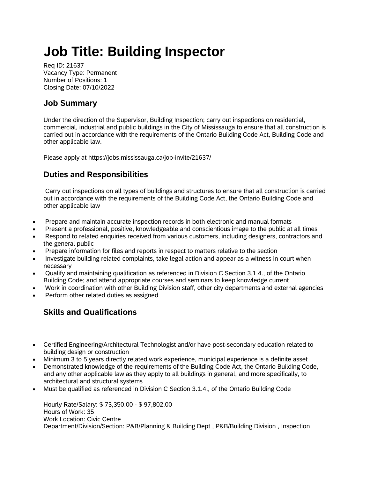## **Job Title: Building Inspector**

Req ID: 21637 Vacancy Type: Permanent Number of Positions: 1 Closing Date: 07/10/2022

## **Job Summary**

Under the direction of the Supervisor, Building Inspection; carry out inspections on residential, commercial, industrial and public buildings in the City of Mississauga to ensure that all construction is carried out in accordance with the requirements of the Ontario Building Code Act, Building Code and other applicable law.

Please apply at https://jobs.mississauga.ca/job-invite/21637/

## **Duties and Responsibilities**

Carry out inspections on all types of buildings and structures to ensure that all construction is carried out in accordance with the requirements of the Building Code Act, the Ontario Building Code and other applicable law

- Prepare and maintain accurate inspection records in both electronic and manual formats
- Present a professional, positive, knowledgeable and conscientious image to the public at all times
- Respond to related enquiries received from various customers, including designers, contractors and the general public
- Prepare information for files and reports in respect to matters relative to the section
- Investigate building related complaints, take legal action and appear as a witness in court when necessary
- Qualify and maintaining qualification as referenced in Division C Section 3.1.4., of the Ontario Building Code; and attend appropriate courses and seminars to keep knowledge current
- Work in coordination with other Building Division staff, other city departments and external agencies
- Perform other related duties as assigned

## **Skills and Qualifications**

- Certified Engineering/Architectural Technologist and/or have post-secondary education related to building design or construction
- Minimum 3 to 5 years directly related work experience, municipal experience is a definite asset
- Demonstrated knowledge of the requirements of the Building Code Act, the Ontario Building Code, and any other applicable law as they apply to all buildings in general, and more specifically, to architectural and structural systems
- Must be qualified as referenced in Division C Section 3.1.4., of the Ontario Building Code

Hourly Rate/Salary: \$ 73,350.00 - \$ 97,802.00 Hours of Work: 35 Work Location: Civic Centre Department/Division/Section: P&B/Planning & Building Dept , P&B/Building Division , Inspection